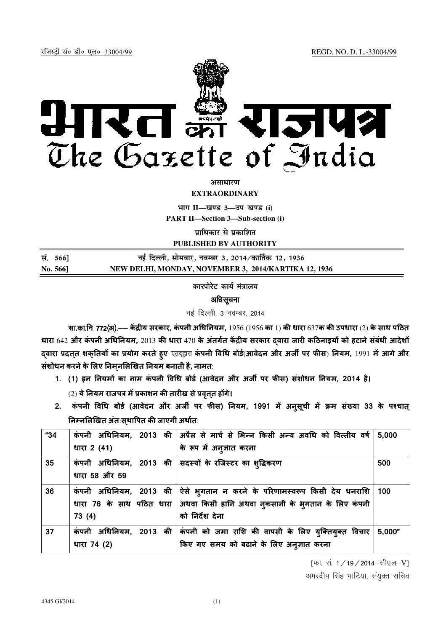रजिस्ट्री सं० डी० एल०-33004/99 रजिस्ट्री सं० डी० एल०-33004/99 रजिस्ट्री सं० डी० एल०-33004/99 रजिस्ट्री सं० डी



*असाधारण* 

**EXTRAORDINARY**

**Hkkx II—[k.M 3—mi&[k.M (i)**

**PART II—Section 3—Sub-section (i)**

**पाधिकार से प्रकाशित** 

**PUBLISHED BY AUTHORITY**

| सं. 566] | नई दिल्ली, सोमवार, नवम्बर 3, 2014 ∕कार्तिक 12, 1936  |
|----------|------------------------------------------------------|
| No. 566] | NEW DELHI, MONDAY, NOVEMBER 3, 2014/KARTIKA 12, 1936 |

कारपोरेट कार्य मंत्रालय

अधिसूचना

नई दिल्ली, 3 नवम्बर, 2014

सा.का.नि 7**72(अ).—— केंद्रीय सरकार, कंपनी अधिनियम,** 1956 (1956 का 1) की धारा 637क की उपधारा (2) के साथ पठित धारा 642 और कपनी अधिनियम, 2013 की धारा 470 के अतर्गत केंद्रीय सरकार दवारा जारी कठिनाइयों को हटाने सबधी आदेशों द्वारा प्रदत्**त शक्**तियों का प्रयोग करते हुए एतद्द्वारा कंपनी विधि बोर्ड(आवेदन और अर्जी पर फीस) नियम, 1991 में आगे और संशोधन करने के लिए निमनलिखित नियम बनाती है, नामत:

1. (1) इन नियमों का नाम कंपनी विधि बोर्ड (आवेदन और अर्जी पर फीस) संशोधन नियम, 2014 है।

(2) ये नियम राजपत्र में प्रकाशन की तारीख से प्रवृत्त होगे।

2. कपनी विधि बोर्ड (आवेदन और अर्जी पर फीस) नियम, 1991 में अनुसूची में क्रम संख्या 33 के पश्चात् निम्नलिखित अंत:सथापित की जाएगी अर्थात:

| "34 |               | कंपनी अधिनियम, 2013 की अप्रैल से मार्च से भिन्न किसी अन्य अवधि को वित्तीय वर्ष 5,000    |        |
|-----|---------------|-----------------------------------------------------------------------------------------|--------|
|     | धारा 2 (41)   | के रूप में अनुज्ञात करना                                                                |        |
| 35  |               | कंपनी अधिनियम, 2013 की सदस्यों के रजिस्टर का शुद्धिकरण                                  | 500    |
|     | धारा 58 और 59 |                                                                                         |        |
| 36  |               | कंपनी अधिनियम, 2013 की ऐसे भ् <b>गतान न करने के परिणामस्वरूप किसी देय धन</b> राशि   100 |        |
|     |               | धारा 76 के साथ पठित धारा   अथवा किसी हानि अथवा नुकसानी के भुगतान के लिए कंपनी           |        |
|     | 73(4)         | को निर्देश देना                                                                         |        |
| 37  |               | कंपनी अधिनियम, 2013 की कंपनी को जमा राशि की वापसी के लिए युक्तियुक्त विचार              | 5,000" |
|     | धारा 74 (2)   | किए गए समय को बढाने के लिए अनुज्ञात करना                                                |        |

[फा. सं. 1/19/2014-सीएल-V]

अमरदीप सिंह भाटिया, संयुक्त सचिव